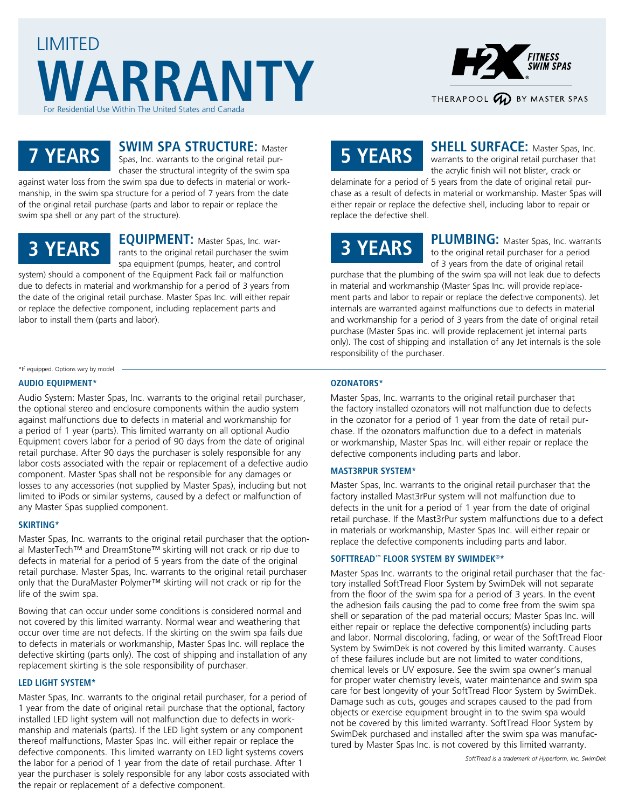



### **7 YEARS**

### **SWIM SPA STRUCTURE: Master**

Spas, Inc. warrants to the original retail purchaser the structural integrity of the swim spa against water loss from the swim spa due to defects in material or work-

manship, in the swim spa structure for a period of 7 years from the date of the original retail purchase (parts and labor to repair or replace the swim spa shell or any part of the structure).

### **3 YEARS**

**EQUIPMENT:** Master Spas, Inc. warrants to the original retail purchaser the swim spa equipment (pumps, heater, and control system) should a component of the Equipment Pack fail or malfunction

due to defects in material and workmanship for a period of 3 years from the date of the original retail purchase. Master Spas Inc. will either repair or replace the defective component, including replacement parts and labor to install them (parts and labor).

\*If equipped. Options vary by model.

#### **AUDIO EQUIPMENT\***

Audio System: Master Spas, Inc. warrants to the original retail purchaser, the optional stereo and enclosure components within the audio system against malfunctions due to defects in material and workmanship for a period of 1 year (parts). This limited warranty on all optional Audio Equipment covers labor for a period of 90 days from the date of original retail purchase. After 90 days the purchaser is solely responsible for any labor costs associated with the repair or replacement of a defective audio component. Master Spas shall not be responsible for any damages or losses to any accessories (not supplied by Master Spas), including but not limited to iPods or similar systems, caused by a defect or malfunction of any Master Spas supplied component.

#### **SKIRTING\***

Master Spas, Inc. warrants to the original retail purchaser that the optional MasterTech™ and DreamStone™ skirting will not crack or rip due to defects in material for a period of 5 years from the date of the original retail purchase. Master Spas, Inc. warrants to the original retail purchaser only that the DuraMaster Polymer™ skirting will not crack or rip for the life of the swim spa.

Bowing that can occur under some conditions is considered normal and not covered by this limited warranty. Normal wear and weathering that occur over time are not defects. If the skirting on the swim spa fails due to defects in materials or workmanship, Master Spas Inc. will replace the defective skirting (parts only). The cost of shipping and installation of any replacement skirting is the sole responsibility of purchaser.

#### **LED LIGHT SYSTEM\***

Master Spas, Inc. warrants to the original retail purchaser, for a period of 1 year from the date of original retail purchase that the optional, factory installed LED light system will not malfunction due to defects in workmanship and materials (parts). If the LED light system or any component thereof malfunctions, Master Spas Inc. will either repair or replace the defective components. This limited warranty on LED light systems covers the labor for a period of 1 year from the date of retail purchase. After 1 year the purchaser is solely responsible for any labor costs associated with the repair or replacement of a defective component.

## **5 YEARS**

**SHELL SURFACE:** Master Spas, Inc. warrants to the original retail purchaser that the acrylic finish will not blister, crack or

delaminate for a period of 5 years from the date of original retail purchase as a result of defects in material or workmanship. Master Spas will either repair or replace the defective shell, including labor to repair or replace the defective shell.

# **3 YEARS**

PLUMBING: Master Spas, Inc. warrants to the original retail purchaser for a period of 3 years from the date of original retail

purchase that the plumbing of the swim spa will not leak due to defects in material and workmanship (Master Spas Inc. will provide replacement parts and labor to repair or replace the defective components). Jet internals are warranted against malfunctions due to defects in material and workmanship for a period of 3 years from the date of original retail purchase (Master Spas inc. will provide replacement jet internal parts only). The cost of shipping and installation of any Jet internals is the sole responsibility of the purchaser.

#### **OZONATORS\***

Master Spas, Inc. warrants to the original retail purchaser that the factory installed ozonators will not malfunction due to defects in the ozonator for a period of 1 year from the date of retail purchase. If the ozonators malfunction due to a defect in materials or workmanship, Master Spas Inc. will either repair or replace the defective components including parts and labor.

#### **MAST3RPUR SYSTEM\***

Master Spas, Inc. warrants to the original retail purchaser that the factory installed Mast3rPur system will not malfunction due to defects in the unit for a period of 1 year from the date of original retail purchase. If the Mast3rPur system malfunctions due to a defect in materials or workmanship, Master Spas Inc. will either repair or replace the defective components including parts and labor.

#### **SOFTTREAD™ FLOOR SYSTEM BY SWIMDEK®\***

Master Spas Inc. warrants to the original retail purchaser that the factory installed SoftTread Floor System by SwimDek will not separate from the floor of the swim spa for a period of 3 years. In the event the adhesion fails causing the pad to come free from the swim spa shell or separation of the pad material occurs; Master Spas Inc. will either repair or replace the defective component(s) including parts and labor. Normal discoloring, fading, or wear of the SoftTread Floor System by SwimDek is not covered by this limited warranty. Causes of these failures include but are not limited to water conditions, chemical levels or UV exposure. See the swim spa owner's manual for proper water chemistry levels, water maintenance and swim spa care for best longevity of your SoftTread Floor System by SwimDek. Damage such as cuts, gouges and scrapes caused to the pad from objects or exercise equipment brought in to the swim spa would not be covered by this limited warranty. SoftTread Floor System by SwimDek purchased and installed after the swim spa was manufactured by Master Spas Inc. is not covered by this limited warranty.